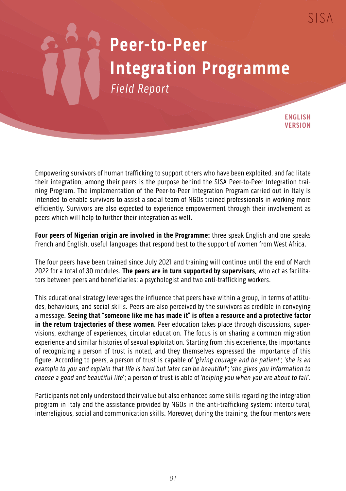## **Peer-to-Peer Integration Programme** Field Report

**ENGLISH VERSION**

Empowering survivors of human trafficking to support others who have been exploited, and facilitate their integration, among their peers is the purpose behind the SISA Peer-to-Peer Integration training Program. The implementation of the Peer-to-Peer Integration Program carried out in Italy is intended to enable survivors to assist a social team of NGOs trained professionals in working more efficiently. Survivors are also expected to experience empowerment through their involvement as peers which will help to further their integration as well.

**Four peers of Nigerian origin are involved in the Programme:** three speak English and one speaks French and English, useful languages that respond best to the support of women from West Africa.

The four peers have been trained since July 2021 and training will continue until the end of March 2022 for a total of 30 modules. **The peers are in turn supported by supervisors,** who act as facilitators between peers and beneficiaries: a psychologist and two anti-trafficking workers.

This educational strategy leverages the influence that peers have within a group, in terms of attitudes, behaviours, and social skills. Peers are also perceived by the survivors as credible in conveying a message. **Seeing that "someone like me has made it" is often a resource and a protective factor in the return trajectories of these women.** Peer education takes place through discussions, supervisions, exchange of experiences, circular education. The focus is on sharing a common migration experience and similar histories of sexual exploitation. Starting from this experience, the importance of recognizing a person of trust is noted, and they themselves expressed the importance of this figure. According to peers, a person of trust is capable of 'giving courage and be patient'; 'she is an example to you and explain that life is hard but later can be beautiful'; 'she gives you information to choose a good and beautiful life'; a person of trust is able of 'helping you when you are about to fall'.

Participants not only understood their value but also enhanced some skills regarding the integration program in Italy and the assistance provided by NGOs in the anti-trafficking system: intercultural, interreligious, social and communication skills. Moreover, during the training, the four mentors were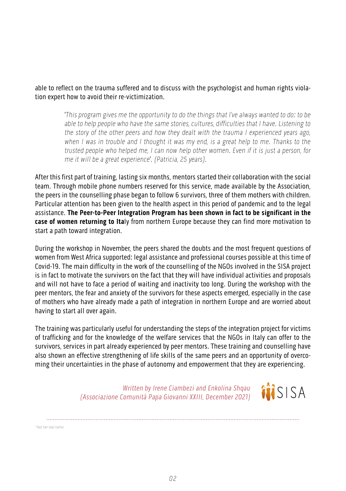able to reflect on the trauma suffered and to discuss with the psychologist and human rights violation expert how to avoid their re-victimization.

> 'This program gives me the opportunity to do the things that I've always wanted to do: to be able to help people who have the same stories, cultures, difficulties that I have. Listening to the story of the other peers and how they dealt with the trauma I experienced years ago, when I was in trouble and I thought it was my end, is a great help to me. Thanks to the trusted people who helped me, I can now help other women. Even if it is just a person, for me it will be a great experience'. (Patricia, 25 years).

After this first part of training, lasting six months, mentors started their collaboration with the social team. Through mobile phone numbers reserved for this service, made available by the Association, the peers in the counselling phase began to follow 6 survivors, three of them mothers with children. Particular attention has been given to the health aspect in this period of pandemic and to the legal assistance. **The Peer-to-Peer Integration Program has been shown in fact to be significant in the case of women returning to Ita**ly from northern Europe because they can find more motivation to start a path toward integration.

During the workshop in November, the peers shared the doubts and the most frequent questions of women from West Africa supported: legal assistance and professional courses possible at this time of Covid-19. The main difficulty in the work of the counselling of the NGOs involved in the SISA project is in fact to motivate the survivors on the fact that they will have individual activities and proposals and will not have to face a period of waiting and inactivity too long. During the workshop with the peer mentors, the fear and anxiety of the survivors for these aspects emerged, especially in the case of mothers who have already made a path of integration in northern Europe and are worried about having to start all over again.

The training was particularly useful for understanding the steps of the integration project for victims of trafficking and for the knowledge of the welfare services that the NGOs in Italy can offer to the survivors, services in part already experienced by peer mentors. These training and counselling have also shown an effective strengthening of life skills of the same peers and an opportunity of overcoming their uncertainties in the phase of autonomy and empowerment that they are experiencing.

> Written by Irene Ciambezi and Enkolina Shqau (Associazione Comunità Papa Giovanni XXIII, December 2021)

iisisa

1 Not her real name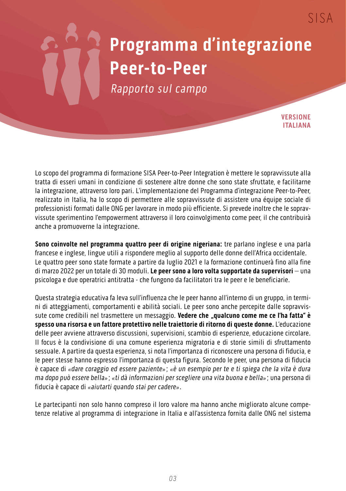## **Programma d'integrazione Peer-to-Peer**

Rapporto sul campo

**VERSIONE ITALIANA**

 $SISA$ 

Lo scopo del programma di formazione SISA Peer-to-Peer Integration è mettere le sopravvissute alla tratta di esseri umani in condizione di sostenere altre donne che sono state sfruttate, e facilitarne la integrazione, attraverso loro pari. L'implementazione del Programma d'integrazione Peer-to-Peer, realizzato in Italia, ha lo scopo di permettere alle sopravvissute di assistere una équipe sociale di professionisti formati dalle ONG per lavorare in modo più efficiente. Si prevede inoltre che le sopravvissute sperimentino l'empowerment attraverso il loro coinvolgimento come peer, il che contribuirà anche a promuoverne la integrazione.

**Sono coinvolte nel programma quattro peer di origine nigeriana:** tre parlano inglese e una parla francese e inglese, lingue utili a rispondere meglio al supporto delle donne dell'Africa occidentale. Le quattro peer sono state formate a partire da luglio 2021 e la formazione continuerà fino alla fine di marzo 2022 per un totale di 30 moduli. **Le peer sono a loro volta supportate da supervisori** – una psicologa e due operatrici antitratta - che fungono da facilitatori tra le peer e le beneficiarie.

Questa strategia educativa fa leva sull'influenza che le peer hanno all'interno di un gruppo, in termini di atteggiamenti, comportamenti e abilità sociali. Le peer sono anche percepite dalle sopravvissute come credibili nel trasmettere un messaggio. Vedere che "qualcuno come me ce l'ha fatta" è **spesso una risorsa e un fattore protettivo nelle traiettorie di ritorno di queste donne.** L'educazione delle peer avviene attraverso discussioni, supervisioni, scambio di esperienze, educazione circolare. Il focus è la condivisione di una comune esperienza migratoria e di storie simili di sfruttamento sessuale. A partire da questa esperienza, si nota l'importanza di riconoscere una persona di fiducia, e le peer stesse hanno espresso l'importanza di questa figura. Secondo le peer, una persona di fiducia è capace di «dare coraggio ed essere paziente»; «è un esempio per te e ti spiega che la vita è dura ma dopo può essere bella»; «ti dà informazioni per scegliere una vita buona e bella»; una persona di fiducia è capace di «aiutarti quando stai per cadere».

Le partecipanti non solo hanno compreso il loro valore ma hanno anche migliorato alcune competenze relative al programma di integrazione in Italia e all'assistenza fornita dalle ONG nel sistema